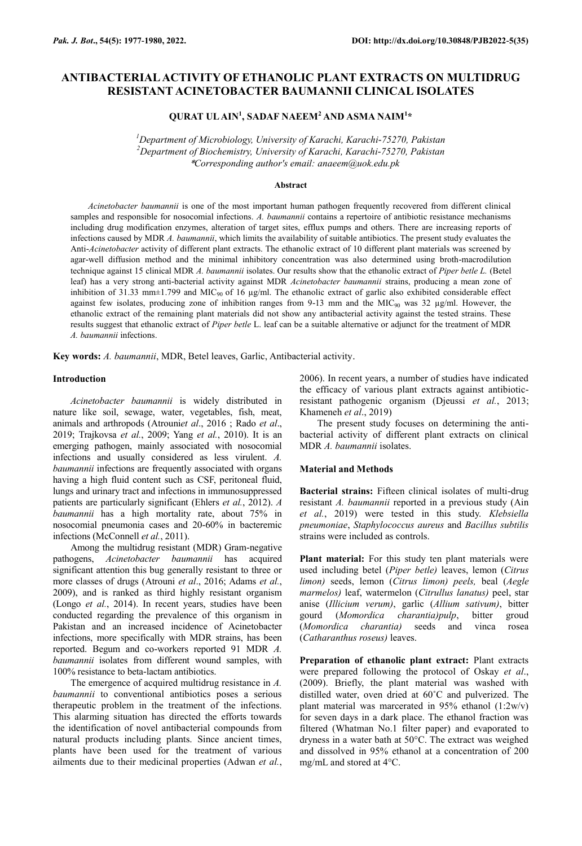# **QURAT UL AIN<sup>1</sup> , SADAF NAEEM<sup>2</sup> AND ASMA NAIM<sup>1</sup> \***

*<sup>1</sup>Department of Microbiology, University of Karachi, Karachi-75270, Pakistan <sup>2</sup>Department of Biochemistry, University of Karachi, Karachi-75270, Pakistan* \**Corresponding author's email: anaeem@uok.edu.pk*

#### **Abstract**

*Acinetobacter baumannii* is one of the most important human pathogen frequently recovered from different clinical samples and responsible for nosocomial infections. *A. baumannii* contains a repertoire of antibiotic resistance mechanisms including drug modification enzymes, alteration of target sites, efflux pumps and others. There are increasing reports of infections caused by MDR *A. baumannii*, which limits the availability of suitable antibiotics. The present study evaluates the Anti-*Acinetobacter* activity of different plant extracts. The ethanolic extract of 10 different plant materials was screened by agar-well diffusion method and the minimal inhibitory concentration was also determined using broth-macrodilution technique against 15 clinical MDR *A. baumannii* isolates. Our results show that the ethanolic extract of *Piper betle L.* (Betel leaf) has a very strong anti-bacterial activity against MDR *Acinetobacter baumannii* strains, producing a mean zone of inhibition of 31.33 mm $\pm$ 1.799 and MIC<sub>90</sub> of 16  $\mu$ g/ml. The ethanolic extract of garlic also exhibited considerable effect against few isolates, producing zone of inhibition ranges from 9-13 mm and the MIC $_{90}$  was 32  $\mu$ g/ml. However, the ethanolic extract of the remaining plant materials did not show any antibacterial activity against the tested strains. These results suggest that ethanolic extract of *Piper betle* L. leaf can be a suitable alternative or adjunct for the treatment of MDR *A. baumannii* infections.

**Key words:** *A. baumannii*, MDR, Betel leaves, Garlic, Antibacterial activity.

## **Introduction**

*Acinetobacter baumannii* is widely distributed in nature like soil, sewage, water, vegetables, fish, meat, animals and arthropods (Atrouni*et al*., 2016 ; Rado *et al*., 2019; Trajkovsa *et al.*, 2009; Yang *et al.*, 2010). It is an emerging pathogen, mainly associated with nosocomial infections and usually considered as less virulent. *A. baumannii* infections are frequently associated with organs having a high fluid content such as CSF, peritoneal fluid, lungs and urinary tract and infections in immunosuppressed patients are particularly significant (Ehlers *et al.*, 2012). *A baumannii* has a high mortality rate, about 75% in nosocomial pneumonia cases and 20-60% in bacteremic infections (McConnell *et al.*, 2011).

Among the multidrug resistant (MDR) Gram-negative pathogens, *Acinetobacter baumannii* has acquired significant attention this bug generally resistant to three or more classes of drugs (Atrouni *et al*., 2016; Adams *et al.*, 2009), and is ranked as third highly resistant organism (Longo *et al.*, 2014). In recent years, studies have been conducted regarding the prevalence of this organism in Pakistan and an increased incidence of Acinetobacter infections, more specifically with MDR strains, has been reported. Begum and co-workers reported 91 MDR *A. baumannii* isolates from different wound samples, with 100% resistance to beta-lactam antibiotics.

The emergence of acquired multidrug resistance in *A. baumannii* to conventional antibiotics poses a serious therapeutic problem in the treatment of the infections. This alarming situation has directed the efforts towards the identification of novel antibacterial compounds from natural products including plants. Since ancient times, plants have been used for the treatment of various ailments due to their medicinal properties (Adwan *et al.*,

2006). In recent years, a number of studies have indicated the efficacy of various plant extracts against antibioticresistant pathogenic organism (Djeussi *et al.*, 2013; Khameneh *et al*., 2019)

The present study focuses on determining the antibacterial activity of different plant extracts on clinical MDR *A. baumannii* isolates.

### **Material and Methods**

**Bacterial strains:** Fifteen clinical isolates of multi-drug resistant *A. baumannii* reported in a previous study (Ain *et al.*, 2019) were tested in this study. *Klebsiella pneumoniae*, *Staphylococcus aureus* and *Bacillus subtilis* strains were included as controls.

**Plant material:** For this study ten plant materials were used including betel (*Piper betle)* leaves, lemon (*Citrus limon)* seeds, lemon (*Citrus limon) peels,* beal (*Aegle marmelos)* leaf, watermelon (*Citrullus lanatus)* peel, star anise (*Illicium verum)*, garlic (*Allium sativum)*, bitter gourd (*Momordica charantia)pulp*, bitter groud (*Momordica charantia)* seeds and vinca rosea (*Catharanthus roseus)* leaves.

**Preparation of ethanolic plant extract:** Plant extracts were prepared following the protocol of Oskay *et al*., (2009). Briefly, the plant material was washed with distilled water, oven dried at 60˚C and pulverized. The plant material was marcerated in 95% ethanol (1:2w/v) for seven days in a dark place. The ethanol fraction was filtered (Whatman No.1 filter paper) and evaporated to dryness in a water bath at 50°C. The extract was weighed and dissolved in 95% ethanol at a concentration of 200 mg/mL and stored at 4°C.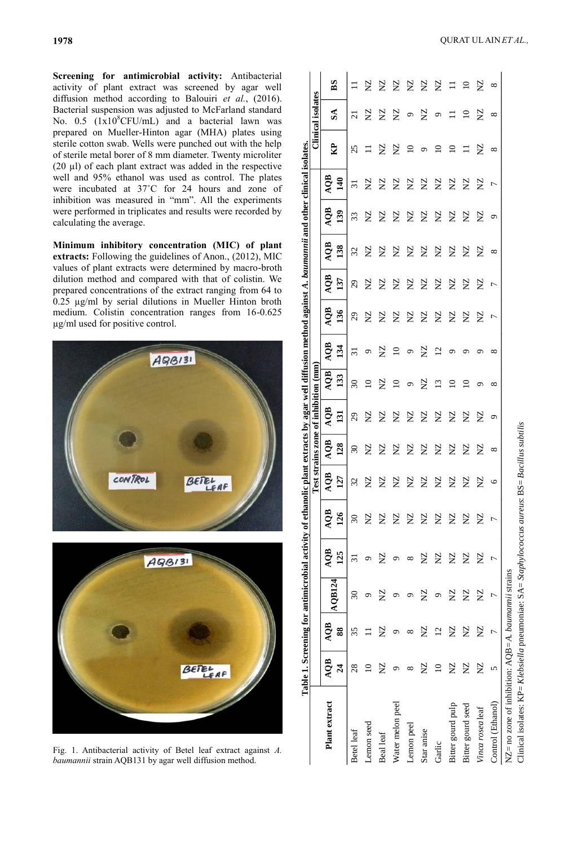**Screening for antimicrobial activity:** Antibacterial activity of plant extract was screened by agar well diffusion method according to Balouiri *et al.*, (2016). Bacterial suspension was adjusted to McFarland standard No.  $0.5$   $(1x10<sup>8</sup>CFU/mL)$  and a bacterial lawn was prepared on Mueller-Hinton agar (MHA) plates using sterile cotton swab. Wells were punched out with the help of sterile metal borer of 8 mm diameter. Twenty microliter (20 µl) of each plant extract was added in the respective well and 95% ethanol was used as control. The plates were incubated at 37˚C for 24 hours and zone of inhibition was measured in "mm". All the experiments were performed in triplicates and results were recorded by calculating the average.

**Minimum inhibitory concentration (MIC) of plant extracts:** Following the guidelines of Anon., (2012), MIC values of plant extracts were determined by macro-broth dilution method and compared with that of colistin. We prepared concentrations of the extract ranging from 64 to 0.25 µg/ml by serial dilutions in Mueller Hinton broth medium. Colistin concentration ranges from 16-0.625 µg/ml used for positive control.





Fig. 1. Antibacterial activity of Betel leaf extract against *A. baumannii* strain AQB131 by agar well diffusion method.

|                                                                                                                                                                            |                |                | Table 1. Screening for antimicrobial activity of ethanolic plant extracts by agar well diffusion method against A. baumannii and other clinical isolates. |           |                          |            | Test strains zone of inhibition (mm) |                             |                 |                |          |                             |              |          |                 |                 | Clinical isolates |             |
|----------------------------------------------------------------------------------------------------------------------------------------------------------------------------|----------------|----------------|-----------------------------------------------------------------------------------------------------------------------------------------------------------|-----------|--------------------------|------------|--------------------------------------|-----------------------------|-----------------|----------------|----------|-----------------------------|--------------|----------|-----------------|-----------------|-------------------|-------------|
| Plant extract                                                                                                                                                              | <b>AQB</b>     | <b>AQB</b>     |                                                                                                                                                           | AQB       | <b>AQB</b>               | <b>AQB</b> | AQB                                  | AQB                         | <b>AQB</b>      | <b>AQB</b>     | AQB      | AQB                         | AQB          | AQB      | AQB             |                 |                   |             |
|                                                                                                                                                                            | $\overline{a}$ | 88             | AQB124                                                                                                                                                    | 125       | <b>26</b>                | 127        | 128                                  | 131                         | 133             | 134            | 136      | 137                         | 138          | 139      | $\frac{140}{2}$ | $\mathbf{B}$    | $\mathbf{S}$      | $_{\rm BS}$ |
| Betel leaf                                                                                                                                                                 | 28             | 35             | $\overline{\mathrm{30}}$                                                                                                                                  | ಸ         | $\overline{\mathcal{E}}$ | 32         | $\Im$                                | $\mathcal{L}^{\mathcal{G}}$ | $\Im$           | 51             | 29       | $\mathcal{L}^{\mathcal{G}}$ | 32           | 33       | 51              | 25              | ಸ                 |             |
| Lemon seed                                                                                                                                                                 |                |                |                                                                                                                                                           | ᡋ         | $\Sigma$                 | $\Sigma$   | <b>NZ</b>                            | $\Sigma$                    | $\overline{10}$ | Q              | $\Sigma$ | $\Sigma$                    | $\Sigma$     | $\Sigma$ | S               | ロ               | $\Sigma$          | $\Sigma$    |
| Beal leaf                                                                                                                                                                  | $\Sigma$       | $\Sigma$       | $\Sigma$                                                                                                                                                  | $\Sigma$  | $\Sigma$                 | <b>NZ</b>  | $\Sigma$                             | $\Sigma$                    | S               | $\Sigma$       | $\Sigma$ | S                           | $\Sigma$     | $\Sigma$ | S               | $\Sigma$        | S                 | $\Sigma$    |
| Water melon peel                                                                                                                                                           | ᡡ              | ᡡ              |                                                                                                                                                           | ᡋ         | $\Sigma$                 | $\Sigma$   | $\Sigma$                             | S                           | $\overline{10}$ | $\Omega$       | $\Sigma$ | $\Sigma$                    | $\Sigma$     | $\Sigma$ | $\Sigma$        | $\Sigma$        | $\Sigma$          | <b>Z</b>    |
| Lemon peel                                                                                                                                                                 | ∞              | ∞              |                                                                                                                                                           | ∞         | Σ                        | $\Sigma$   | $\Sigma$                             | $\Sigma$                    | $\circ$         | $\mathcal{O}$  | $\Sigma$ | $\Sigma$                    | $\Sigma$     | $\Sigma$ | S               | $\overline{10}$ | $\sigma$          | $\Sigma$    |
| Star anise                                                                                                                                                                 | <b>NZ</b>      | $\Sigma$       | Σ                                                                                                                                                         | <b>NZ</b> | $\Sigma$                 | $\Sigma$   | $\Sigma$                             | $\Sigma$                    | $\Sigma$        | $\Sigma$       | $\Sigma$ | $\Sigma$                    | $\Sigma$     | $\Sigma$ | $\Sigma$        | ٥               | $\Sigma$          | $\Sigma$    |
| Garlic                                                                                                                                                                     | $\overline{a}$ | $\overline{c}$ | Q                                                                                                                                                         | $\Sigma$  | $\Sigma$                 | $\Sigma$   | $\Sigma$                             | $\Sigma$                    | $\frac{3}{2}$   | $\overline{c}$ | $\Sigma$ | $\Sigma$                    | $\Sigma$     | $\Sigma$ | S               | $\supseteq$     | $\sigma$          | $\Sigma$    |
| Bitter gourd pulp                                                                                                                                                          | $\Sigma$       | $\Sigma$       | $\Sigma$                                                                                                                                                  | $\Sigma$  | $\Sigma$                 | $\Sigma$   | $\Sigma$                             | $\Sigma$                    | ≘               | ᡡ              | $\Sigma$ | $\Sigma$                    | $\Sigma$     | $\Sigma$ | S               | ≘               | 급                 | $\equiv$    |
| Bitter gourd seed                                                                                                                                                          | $\Sigma$       | Σ              | $\Sigma$                                                                                                                                                  | $\Sigma$  | $\Sigma$                 | Σ          | $\Sigma$                             | $\Sigma$                    | ≘               | ഗ              | $\Sigma$ | $\Sigma$                    | $\Sigma$     | $\Sigma$ | ₿               |                 | $\overline{10}$   | $\Omega$    |
| Vinca rosealeaf                                                                                                                                                            | $\Sigma$       | $\Sigma$       | $\Sigma$                                                                                                                                                  | $\Sigma$  | $\Sigma$                 | $\Sigma$   | $\Sigma$                             | $\Sigma$                    | ഗ               | ഗ              | $\Sigma$ | $\Sigma$                    | $\Sigma$     | $\Sigma$ | $\Sigma$        | $\Sigma$        | ž                 | ž           |
| Control (Ethanol)                                                                                                                                                          | 5              |                |                                                                                                                                                           |           |                          | 9          | ${}^{\infty}$                        | ٥                           | ${}^{\circ}$    | ∞              | 7        | Γ                           | ${}^{\circ}$ | ٥        | Γ               | ${}^{\circ}$    | ${}^{\circ}$      | $^{\circ}$  |
| Clinical isolates: $KP = Klebsiella$ pneumoniae: $SA = Staphylococcus$ aureus: $BS = Bacillus$ subtilis<br>NZ= no zone of inhibition: $AQB = A$ . <i>baumannii</i> strains |                |                |                                                                                                                                                           |           |                          |            |                                      |                             |                 |                |          |                             |              |          |                 |                 |                   |             |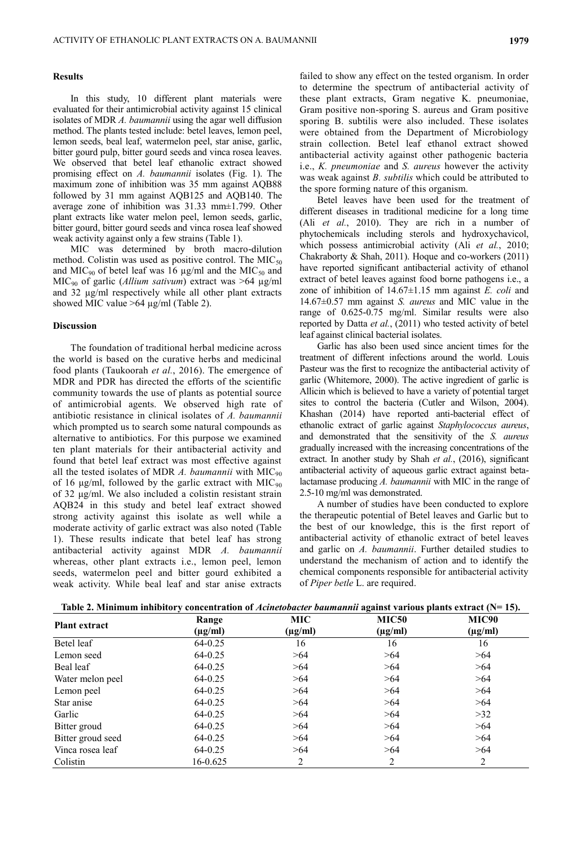## **Results**

In this study, 10 different plant materials were evaluated for their antimicrobial activity against 15 clinical isolates of MDR *A. baumannii* using the agar well diffusion method. The plants tested include: betel leaves, lemon peel, lemon seeds, beal leaf, watermelon peel, star anise, garlic, bitter gourd pulp, bitter gourd seeds and vinca rosea leaves. We observed that betel leaf ethanolic extract showed promising effect on *A. baumannii* isolates (Fig. 1). The maximum zone of inhibition was 35 mm against AQB88 followed by 31 mm against AQB125 and AQB140. The average zone of inhibition was 31.33 mm±1.799. Other plant extracts like water melon peel, lemon seeds, garlic, bitter gourd, bitter gourd seeds and vinca rosea leaf showed weak activity against only a few strains (Table 1).

MIC was determined by broth macro-dilution method. Colistin was used as positive control. The  $MIC<sub>50</sub>$ and MIC<sub>90</sub> of betel leaf was 16  $\mu$ g/ml and the MIC<sub>50</sub> and MIC<sup>90</sup> of garlic (*Allium sativum*) extract was >64 µg/ml and 32 µg/ml respectively while all other plant extracts showed MIC value >64 µg/ml (Table 2).

#### **Discussion**

The foundation of traditional herbal medicine across the world is based on the curative herbs and medicinal food plants (Taukoorah *et al.*, 2016). The emergence of MDR and PDR has directed the efforts of the scientific community towards the use of plants as potential source of antimicrobial agents. We observed high rate of antibiotic resistance in clinical isolates of *A. baumannii* which prompted us to search some natural compounds as alternative to antibiotics. For this purpose we examined ten plant materials for their antibacterial activity and found that betel leaf extract was most effective against all the tested isolates of MDR  $\Lambda$ . *baumannii* with MIC<sub>90</sub> of 16 μg/ml, followed by the garlic extract with MIC<sub>90</sub> of 32 μg/ml. We also included a colistin resistant strain AQB24 in this study and betel leaf extract showed strong activity against this isolate as well while a moderate activity of garlic extract was also noted (Table 1). These results indicate that betel leaf has strong antibacterial activity against MDR *A. baumannii* whereas, other plant extracts i.e., lemon peel, lemon seeds, watermelon peel and bitter gourd exhibited a weak activity. While beal leaf and star anise extracts

failed to show any effect on the tested organism. In order to determine the spectrum of antibacterial activity of these plant extracts, Gram negative K. pneumoniae, Gram positive non-sporing S. aureus and Gram positive sporing B. subtilis were also included. These isolates were obtained from the Department of Microbiology strain collection. Betel leaf ethanol extract showed antibacterial activity against other pathogenic bacteria i.e., *K. pneumoniae* and *S. aureus* however the activity was weak against *B. subtilis* which could be attributed to the spore forming nature of this organism.

Betel leaves have been used for the treatment of different diseases in traditional medicine for a long time (Ali *et al.*, 2010). They are rich in a number of phytochemicals including sterols and hydroxychavicol, which possess antimicrobial activity (Ali *et al.*, 2010; Chakraborty & Shah, 2011). Hoque and co-workers (2011) have reported significant antibacterial activity of ethanol extract of betel leaves against food borne pathogens i.e., a zone of inhibition of 14.67±1.15 mm against *E. coli* and 14.67±0.57 mm against *S. aureus* and MIC value in the range of 0.625-0.75 mg/ml. Similar results were also reported by Datta *et al.*, (2011) who tested activity of betel leaf against clinical bacterial isolates.

Garlic has also been used since ancient times for the treatment of different infections around the world. Louis Pasteur was the first to recognize the antibacterial activity of garlic (Whitemore, 2000). The active ingredient of garlic is Allicin which is believed to have a variety of potential target sites to control the bacteria (Cutler and Wilson, 2004). Khashan (2014) have reported anti-bacterial effect of ethanolic extract of garlic against *Staphylococcus aureus*, and demonstrated that the sensitivity of the *S. aureus* gradually increased with the increasing concentrations of the extract. In another study by Shah *et al.*, (2016), significant antibacterial activity of aqueous garlic extract against betalactamase producing *A. baumannii* with MIC in the range of 2.5-10 mg/ml was demonstrated.

A number of studies have been conducted to explore the therapeutic potential of Betel leaves and Garlic but to the best of our knowledge, this is the first report of antibacterial activity of ethanolic extract of betel leaves and garlic on *A. baumannii*. Further detailed studies to understand the mechanism of action and to identify the chemical components responsible for antibacterial activity of *Piper betle* L. are required.

| Table 2. Minimum inhibitory concentration of <i>Acinetobacter baumannii</i> against various plants extract $(N=15)$ . |  |
|-----------------------------------------------------------------------------------------------------------------------|--|
|-----------------------------------------------------------------------------------------------------------------------|--|

|                      | Range        | <b>MIC</b>   | <b>MIC50</b> | MIC90        |
|----------------------|--------------|--------------|--------------|--------------|
| <b>Plant extract</b> | $(\mu g/ml)$ | $(\mu g/ml)$ | $(\mu g/ml)$ | $(\mu g/ml)$ |
| Betel leaf           | 64-0.25      | 16           | 16           | 16           |
| Lemon seed           | $64 - 0.25$  | >64          | >64          | >64          |
| Beal leaf            | 64-0.25      | >64          | >64          | >64          |
| Water melon peel     | $64 - 0.25$  | >64          | >64          | >64          |
| Lemon peel           | 64-0.25      | >64          | >64          | >64          |
| Star anise           | 64-0.25      | >64          | >64          | >64          |
| Garlic               | $64 - 0.25$  | >64          | >64          | >32          |
| Bitter groud         | $64 - 0.25$  | >64          | >64          | >64          |
| Bitter groud seed    | $64 - 0.25$  | >64          | >64          | >64          |
| Vinca rosea leaf     | $64 - 0.25$  | >64          | >64          | >64          |
| Colistin             | 16-0.625     | 2            | 2            | 2            |